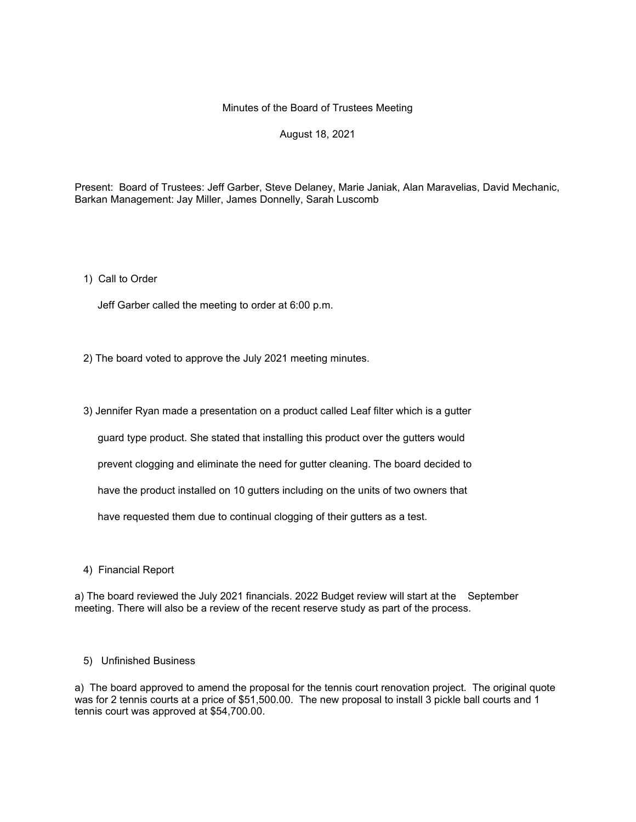# Minutes of the Board of Trustees Meeting

# August 18, 2021

Present: Board of Trustees: Jeff Garber, Steve Delaney, Marie Janiak, Alan Maravelias, David Mechanic, Barkan Management: Jay Miller, James Donnelly, Sarah Luscomb

1) Call to Order

Jeff Garber called the meeting to order at 6:00 p.m.

2) The board voted to approve the July 2021 meeting minutes.

3) Jennifer Ryan made a presentation on a product called Leaf filter which is a gutter

guard type product. She stated that installing this product over the gutters would

prevent clogging and eliminate the need for gutter cleaning. The board decided to

have the product installed on 10 gutters including on the units of two owners that

have requested them due to continual clogging of their gutters as a test.

4) Financial Report

a) The board reviewed the July 2021 financials. 2022 Budget review will start at the September meeting. There will also be a review of the recent reserve study as part of the process.

#### 5) Unfinished Business

a) The board approved to amend the proposal for the tennis court renovation project. The original quote was for 2 tennis courts at a price of \$51,500.00. The new proposal to install 3 pickle ball courts and 1 tennis court was approved at \$54,700.00.